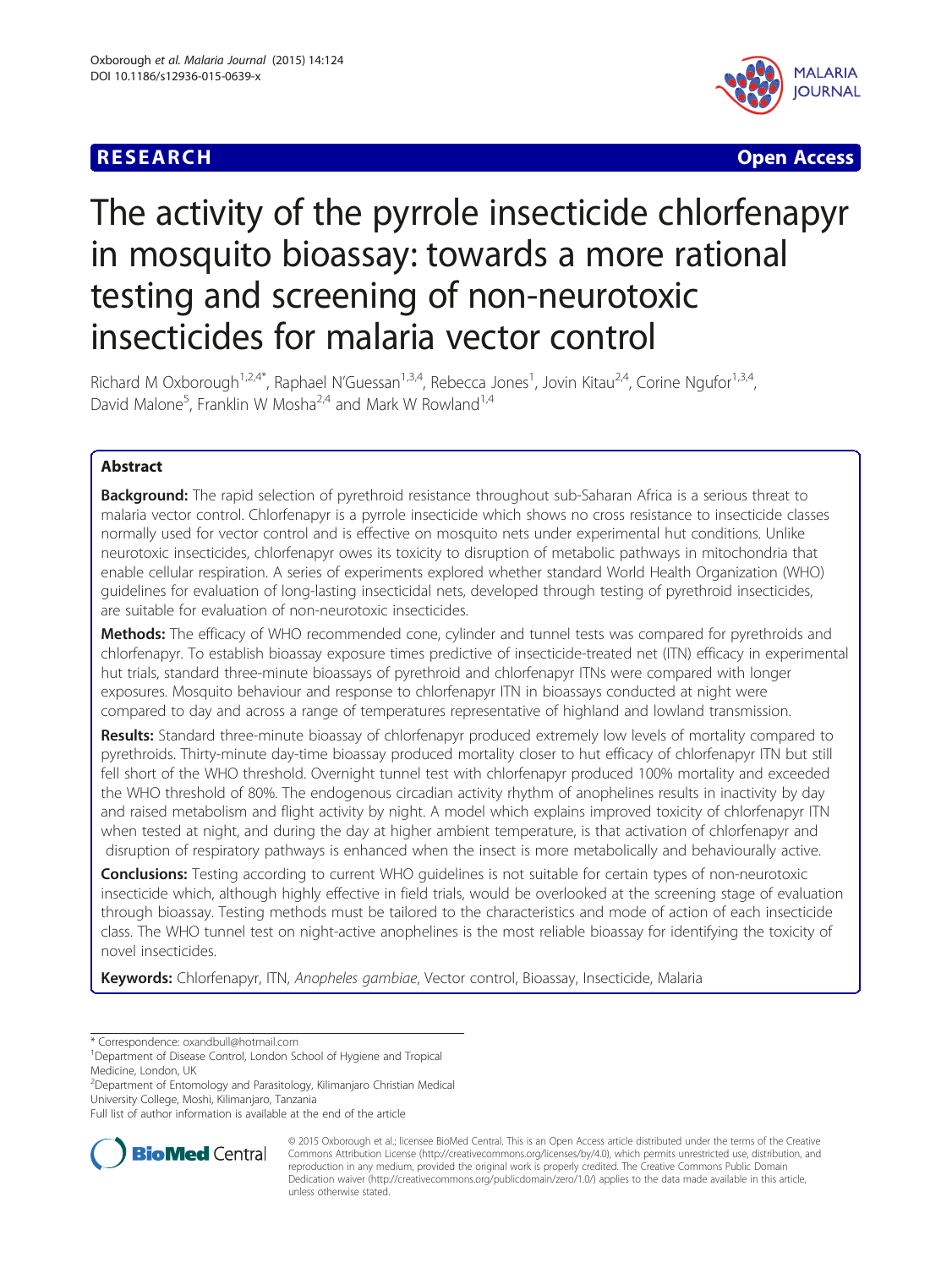# **RESEARCH CHE CHE Open Access**



# The activity of the pyrrole insecticide chlorfenapyr in mosquito bioassay: towards a more rational testing and screening of non-neurotoxic insecticides for malaria vector control

Richard M Oxborough<sup>1,2,4\*</sup>, Raphael N'Guessan<sup>1,3,4</sup>, Rebecca Jones<sup>1</sup>, Jovin Kitau<sup>2,4</sup>, Corine Ngufor<sup>1,3,4</sup>, David Malone<sup>5</sup>, Franklin W Mosha<sup>2,4</sup> and Mark W Rowland<sup>1,4</sup>

# Abstract

Background: The rapid selection of pyrethroid resistance throughout sub-Saharan Africa is a serious threat to malaria vector control. Chlorfenapyr is a pyrrole insecticide which shows no cross resistance to insecticide classes normally used for vector control and is effective on mosquito nets under experimental hut conditions. Unlike neurotoxic insecticides, chlorfenapyr owes its toxicity to disruption of metabolic pathways in mitochondria that enable cellular respiration. A series of experiments explored whether standard World Health Organization (WHO) guidelines for evaluation of long-lasting insecticidal nets, developed through testing of pyrethroid insecticides, are suitable for evaluation of non-neurotoxic insecticides.

Methods: The efficacy of WHO recommended cone, cylinder and tunnel tests was compared for pyrethroids and chlorfenapyr. To establish bioassay exposure times predictive of insecticide-treated net (ITN) efficacy in experimental hut trials, standard three-minute bioassays of pyrethroid and chlorfenapyr ITNs were compared with longer exposures. Mosquito behaviour and response to chlorfenapyr ITN in bioassays conducted at night were compared to day and across a range of temperatures representative of highland and lowland transmission.

Results: Standard three-minute bioassay of chlorfenapyr produced extremely low levels of mortality compared to pyrethroids. Thirty-minute day-time bioassay produced mortality closer to hut efficacy of chlorfenapyr ITN but still fell short of the WHO threshold. Overnight tunnel test with chlorfenapyr produced 100% mortality and exceeded the WHO threshold of 80%. The endogenous circadian activity rhythm of anophelines results in inactivity by day and raised metabolism and flight activity by night. A model which explains improved toxicity of chlorfenapyr ITN when tested at night, and during the day at higher ambient temperature, is that activation of chlorfenapyr and disruption of respiratory pathways is enhanced when the insect is more metabolically and behaviourally active.

**Conclusions:** Testing according to current WHO guidelines is not suitable for certain types of non-neurotoxic insecticide which, although highly effective in field trials, would be overlooked at the screening stage of evaluation through bioassay. Testing methods must be tailored to the characteristics and mode of action of each insecticide class. The WHO tunnel test on night-active anophelines is the most reliable bioassay for identifying the toxicity of novel insecticides.

Keywords: Chlorfenapyr, ITN, Anopheles gambiae, Vector control, Bioassay, Insecticide, Malaria

<sup>2</sup>Department of Entomology and Parasitology, Kilimanjaro Christian Medical University College, Moshi, Kilimanjaro, Tanzania

Full list of author information is available at the end of the article



© 2015 Oxborough et al.; licensee BioMed Central. This is an Open Access article distributed under the terms of the Creative Commons Attribution License [\(http://creativecommons.org/licenses/by/4.0\)](http://creativecommons.org/licenses/by/4.0), which permits unrestricted use, distribution, and reproduction in any medium, provided the original work is properly credited. The Creative Commons Public Domain Dedication waiver [\(http://creativecommons.org/publicdomain/zero/1.0/](http://creativecommons.org/publicdomain/zero/1.0/)) applies to the data made available in this article, unless otherwise stated.

<sup>\*</sup> Correspondence: [oxandbull@hotmail.com](mailto:oxandbull@hotmail.com) <sup>1</sup>

<sup>&</sup>lt;sup>1</sup>Department of Disease Control, London School of Hygiene and Tropical Medicine, London, UK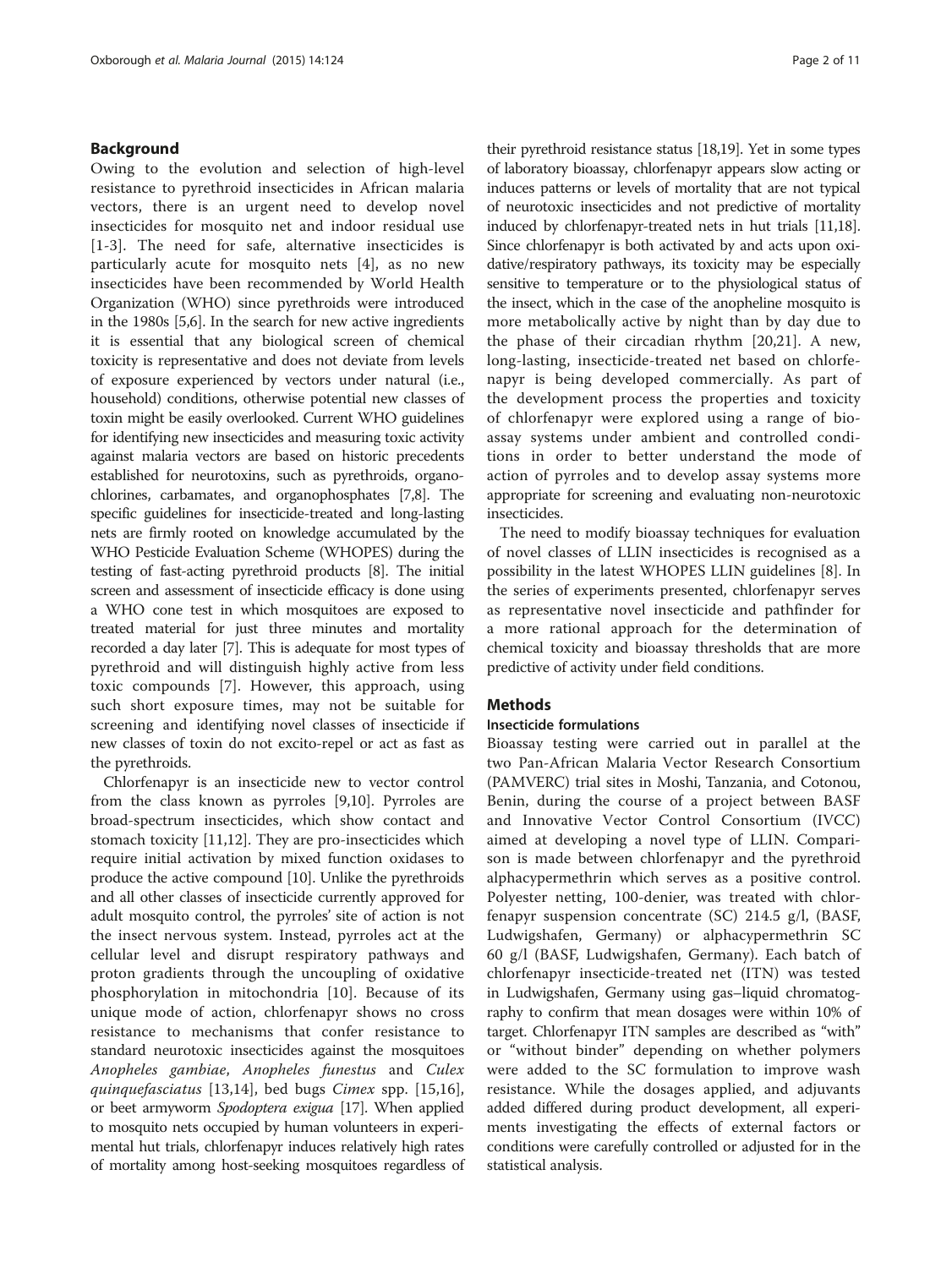#### Background

Owing to the evolution and selection of high-level resistance to pyrethroid insecticides in African malaria vectors, there is an urgent need to develop novel insecticides for mosquito net and indoor residual use [[1-3\]](#page-9-0). The need for safe, alternative insecticides is particularly acute for mosquito nets [[4\]](#page-9-0), as no new insecticides have been recommended by World Health Organization (WHO) since pyrethroids were introduced in the 1980s [[5,6](#page-9-0)]. In the search for new active ingredients it is essential that any biological screen of chemical toxicity is representative and does not deviate from levels of exposure experienced by vectors under natural (i.e., household) conditions, otherwise potential new classes of toxin might be easily overlooked. Current WHO guidelines for identifying new insecticides and measuring toxic activity against malaria vectors are based on historic precedents established for neurotoxins, such as pyrethroids, organochlorines, carbamates, and organophosphates [[7,8](#page-9-0)]. The specific guidelines for insecticide-treated and long-lasting nets are firmly rooted on knowledge accumulated by the WHO Pesticide Evaluation Scheme (WHOPES) during the testing of fast-acting pyrethroid products [\[8](#page-9-0)]. The initial screen and assessment of insecticide efficacy is done using a WHO cone test in which mosquitoes are exposed to treated material for just three minutes and mortality recorded a day later [\[7\]](#page-9-0). This is adequate for most types of pyrethroid and will distinguish highly active from less toxic compounds [\[7](#page-9-0)]. However, this approach, using such short exposure times, may not be suitable for screening and identifying novel classes of insecticide if new classes of toxin do not excito-repel or act as fast as the pyrethroids.

Chlorfenapyr is an insecticide new to vector control from the class known as pyrroles [\[9,10](#page-9-0)]. Pyrroles are broad-spectrum insecticides, which show contact and stomach toxicity [\[11,12\]](#page-9-0). They are pro-insecticides which require initial activation by mixed function oxidases to produce the active compound [[10](#page-9-0)]. Unlike the pyrethroids and all other classes of insecticide currently approved for adult mosquito control, the pyrroles' site of action is not the insect nervous system. Instead, pyrroles act at the cellular level and disrupt respiratory pathways and proton gradients through the uncoupling of oxidative phosphorylation in mitochondria [[10\]](#page-9-0). Because of its unique mode of action, chlorfenapyr shows no cross resistance to mechanisms that confer resistance to standard neurotoxic insecticides against the mosquitoes Anopheles gambiae, Anopheles funestus and Culex quinquefasciatus [[13,14\]](#page-9-0), bed bugs Cimex spp. [[15,16](#page-9-0)], or beet armyworm Spodoptera exigua [[17](#page-9-0)]. When applied to mosquito nets occupied by human volunteers in experimental hut trials, chlorfenapyr induces relatively high rates of mortality among host-seeking mosquitoes regardless of

their pyrethroid resistance status [\[18,19](#page-10-0)]. Yet in some types of laboratory bioassay, chlorfenapyr appears slow acting or induces patterns or levels of mortality that are not typical of neurotoxic insecticides and not predictive of mortality induced by chlorfenapyr-treated nets in hut trials [[11](#page-9-0)[,18](#page-10-0)]. Since chlorfenapyr is both activated by and acts upon oxidative/respiratory pathways, its toxicity may be especially sensitive to temperature or to the physiological status of the insect, which in the case of the anopheline mosquito is more metabolically active by night than by day due to the phase of their circadian rhythm [[20,21](#page-10-0)]. A new, long-lasting, insecticide-treated net based on chlorfenapyr is being developed commercially. As part of the development process the properties and toxicity of chlorfenapyr were explored using a range of bioassay systems under ambient and controlled conditions in order to better understand the mode of action of pyrroles and to develop assay systems more appropriate for screening and evaluating non-neurotoxic insecticides.

The need to modify bioassay techniques for evaluation of novel classes of LLIN insecticides is recognised as a possibility in the latest WHOPES LLIN guidelines [[8](#page-9-0)]. In the series of experiments presented, chlorfenapyr serves as representative novel insecticide and pathfinder for a more rational approach for the determination of chemical toxicity and bioassay thresholds that are more predictive of activity under field conditions.

#### Methods

#### Insecticide formulations

Bioassay testing were carried out in parallel at the two Pan-African Malaria Vector Research Consortium (PAMVERC) trial sites in Moshi, Tanzania, and Cotonou, Benin, during the course of a project between BASF and Innovative Vector Control Consortium (IVCC) aimed at developing a novel type of LLIN. Comparison is made between chlorfenapyr and the pyrethroid alphacypermethrin which serves as a positive control. Polyester netting, 100-denier, was treated with chlorfenapyr suspension concentrate (SC) 214.5 g/l, (BASF, Ludwigshafen, Germany) or alphacypermethrin SC 60 g/l (BASF, Ludwigshafen, Germany). Each batch of chlorfenapyr insecticide-treated net (ITN) was tested in Ludwigshafen, Germany using gas–liquid chromatography to confirm that mean dosages were within 10% of target. Chlorfenapyr ITN samples are described as "with" or "without binder" depending on whether polymers were added to the SC formulation to improve wash resistance. While the dosages applied, and adjuvants added differed during product development, all experiments investigating the effects of external factors or conditions were carefully controlled or adjusted for in the statistical analysis.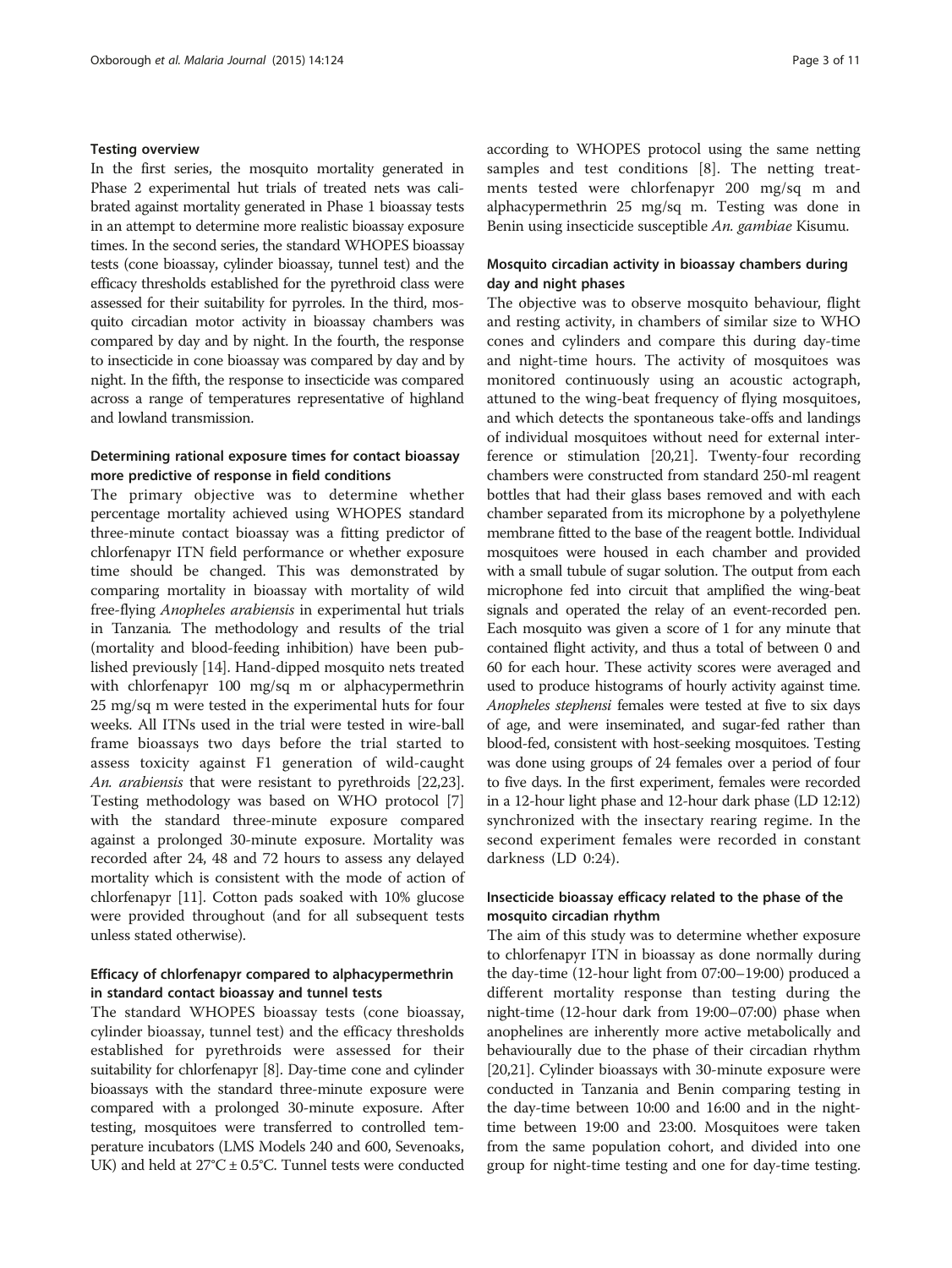#### Testing overview

In the first series, the mosquito mortality generated in Phase 2 experimental hut trials of treated nets was calibrated against mortality generated in Phase 1 bioassay tests in an attempt to determine more realistic bioassay exposure times. In the second series, the standard WHOPES bioassay tests (cone bioassay, cylinder bioassay, tunnel test) and the efficacy thresholds established for the pyrethroid class were assessed for their suitability for pyrroles. In the third, mosquito circadian motor activity in bioassay chambers was compared by day and by night. In the fourth, the response to insecticide in cone bioassay was compared by day and by night. In the fifth, the response to insecticide was compared across a range of temperatures representative of highland and lowland transmission.

# Determining rational exposure times for contact bioassay more predictive of response in field conditions

The primary objective was to determine whether percentage mortality achieved using WHOPES standard three-minute contact bioassay was a fitting predictor of chlorfenapyr ITN field performance or whether exposure time should be changed. This was demonstrated by comparing mortality in bioassay with mortality of wild free-flying Anopheles arabiensis in experimental hut trials in Tanzania. The methodology and results of the trial (mortality and blood-feeding inhibition) have been published previously [\[14](#page-9-0)]. Hand-dipped mosquito nets treated with chlorfenapyr 100 mg/sq m or alphacypermethrin 25 mg/sq m were tested in the experimental huts for four weeks. All ITNs used in the trial were tested in wire-ball frame bioassays two days before the trial started to assess toxicity against F1 generation of wild-caught An. arabiensis that were resistant to pyrethroids [\[22,23](#page-10-0)]. Testing methodology was based on WHO protocol [[7](#page-9-0)] with the standard three-minute exposure compared against a prolonged 30-minute exposure. Mortality was recorded after 24, 48 and 72 hours to assess any delayed mortality which is consistent with the mode of action of chlorfenapyr [\[11\]](#page-9-0). Cotton pads soaked with 10% glucose were provided throughout (and for all subsequent tests unless stated otherwise).

# Efficacy of chlorfenapyr compared to alphacypermethrin in standard contact bioassay and tunnel tests

The standard WHOPES bioassay tests (cone bioassay, cylinder bioassay, tunnel test) and the efficacy thresholds established for pyrethroids were assessed for their suitability for chlorfenapyr [\[8](#page-9-0)]. Day-time cone and cylinder bioassays with the standard three-minute exposure were compared with a prolonged 30-minute exposure. After testing, mosquitoes were transferred to controlled temperature incubators (LMS Models 240 and 600, Sevenoaks, UK) and held at  $27^{\circ}C \pm 0.5^{\circ}C$ . Tunnel tests were conducted

according to WHOPES protocol using the same netting samples and test conditions [\[8](#page-9-0)]. The netting treatments tested were chlorfenapyr 200 mg/sq m and alphacypermethrin 25 mg/sq m. Testing was done in Benin using insecticide susceptible An. gambiae Kisumu.

# Mosquito circadian activity in bioassay chambers during day and night phases

The objective was to observe mosquito behaviour, flight and resting activity, in chambers of similar size to WHO cones and cylinders and compare this during day-time and night-time hours. The activity of mosquitoes was monitored continuously using an acoustic actograph, attuned to the wing-beat frequency of flying mosquitoes, and which detects the spontaneous take-offs and landings of individual mosquitoes without need for external interference or stimulation [\[20,21](#page-10-0)]. Twenty-four recording chambers were constructed from standard 250-ml reagent bottles that had their glass bases removed and with each chamber separated from its microphone by a polyethylene membrane fitted to the base of the reagent bottle. Individual mosquitoes were housed in each chamber and provided with a small tubule of sugar solution. The output from each microphone fed into circuit that amplified the wing-beat signals and operated the relay of an event-recorded pen. Each mosquito was given a score of 1 for any minute that contained flight activity, and thus a total of between 0 and 60 for each hour. These activity scores were averaged and used to produce histograms of hourly activity against time. Anopheles stephensi females were tested at five to six days of age, and were inseminated, and sugar-fed rather than blood-fed, consistent with host-seeking mosquitoes. Testing was done using groups of 24 females over a period of four to five days. In the first experiment, females were recorded in a 12-hour light phase and 12-hour dark phase (LD 12:12) synchronized with the insectary rearing regime. In the second experiment females were recorded in constant darkness (LD 0:24).

#### Insecticide bioassay efficacy related to the phase of the mosquito circadian rhythm

The aim of this study was to determine whether exposure to chlorfenapyr ITN in bioassay as done normally during the day-time (12-hour light from 07:00–19:00) produced a different mortality response than testing during the night-time (12-hour dark from 19:00–07:00) phase when anophelines are inherently more active metabolically and behaviourally due to the phase of their circadian rhythm [[20](#page-10-0),[21](#page-10-0)]. Cylinder bioassays with 30-minute exposure were conducted in Tanzania and Benin comparing testing in the day-time between 10:00 and 16:00 and in the nighttime between 19:00 and 23:00. Mosquitoes were taken from the same population cohort, and divided into one group for night-time testing and one for day-time testing.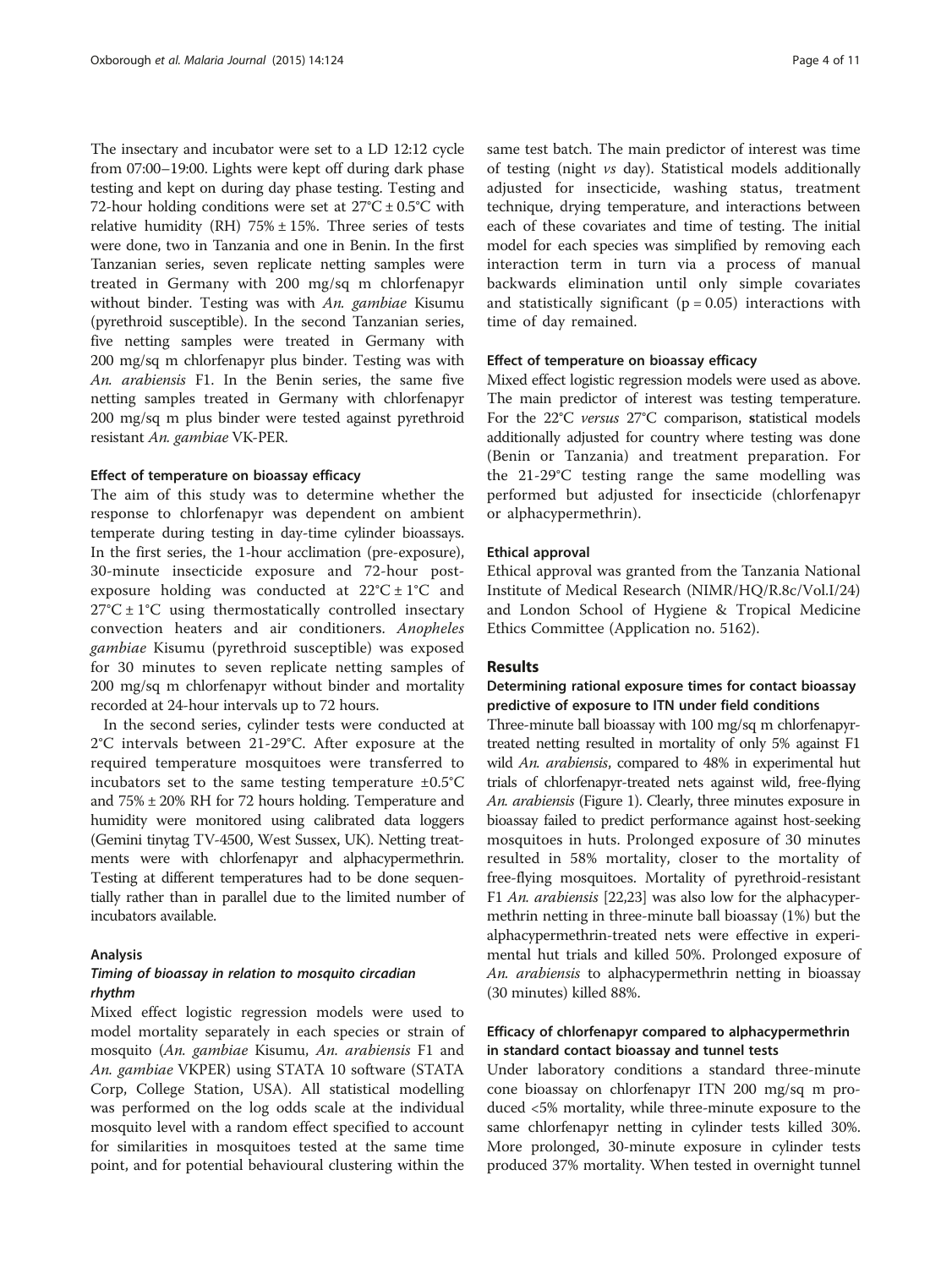The insectary and incubator were set to a LD 12:12 cycle from 07:00–19:00. Lights were kept off during dark phase testing and kept on during day phase testing. Testing and 72-hour holding conditions were set at  $27^{\circ}C \pm 0.5^{\circ}C$  with relative humidity (RH)  $75\% \pm 15\%$ . Three series of tests were done, two in Tanzania and one in Benin. In the first Tanzanian series, seven replicate netting samples were treated in Germany with 200 mg/sq m chlorfenapyr without binder. Testing was with An. gambiae Kisumu (pyrethroid susceptible). In the second Tanzanian series, five netting samples were treated in Germany with 200 mg/sq m chlorfenapyr plus binder. Testing was with An. arabiensis F1. In the Benin series, the same five netting samples treated in Germany with chlorfenapyr 200 mg/sq m plus binder were tested against pyrethroid resistant An. gambiae VK-PER.

#### Effect of temperature on bioassay efficacy

The aim of this study was to determine whether the response to chlorfenapyr was dependent on ambient temperate during testing in day-time cylinder bioassays. In the first series, the 1-hour acclimation (pre-exposure), 30-minute insecticide exposure and 72-hour postexposure holding was conducted at  $22^{\circ}C \pm 1^{\circ}C$  and  $27^{\circ}$ C ± 1°C using thermostatically controlled insectary convection heaters and air conditioners. Anopheles gambiae Kisumu (pyrethroid susceptible) was exposed for 30 minutes to seven replicate netting samples of 200 mg/sq m chlorfenapyr without binder and mortality recorded at 24-hour intervals up to 72 hours.

In the second series, cylinder tests were conducted at 2°C intervals between 21-29°C. After exposure at the required temperature mosquitoes were transferred to incubators set to the same testing temperature  $\pm 0.5^{\circ}$ C and 75% ± 20% RH for 72 hours holding. Temperature and humidity were monitored using calibrated data loggers (Gemini tinytag TV-4500, West Sussex, UK). Netting treatments were with chlorfenapyr and alphacypermethrin. Testing at different temperatures had to be done sequentially rather than in parallel due to the limited number of incubators available.

#### Analysis

#### Timing of bioassay in relation to mosquito circadian rhythm

Mixed effect logistic regression models were used to model mortality separately in each species or strain of mosquito (An. gambiae Kisumu, An. arabiensis F1 and An. gambiae VKPER) using STATA 10 software (STATA Corp, College Station, USA). All statistical modelling was performed on the log odds scale at the individual mosquito level with a random effect specified to account for similarities in mosquitoes tested at the same time point, and for potential behavioural clustering within the

same test batch. The main predictor of interest was time of testing (night vs day). Statistical models additionally adjusted for insecticide, washing status, treatment technique, drying temperature, and interactions between each of these covariates and time of testing. The initial model for each species was simplified by removing each interaction term in turn via a process of manual backwards elimination until only simple covariates and statistically significant ( $p = 0.05$ ) interactions with time of day remained.

#### Effect of temperature on bioassay efficacy

Mixed effect logistic regression models were used as above. The main predictor of interest was testing temperature. For the 22°C versus 27°C comparison, statistical models additionally adjusted for country where testing was done (Benin or Tanzania) and treatment preparation. For the 21-29°C testing range the same modelling was performed but adjusted for insecticide (chlorfenapyr or alphacypermethrin).

#### Ethical approval

Ethical approval was granted from the Tanzania National Institute of Medical Research (NIMR/HQ/R.8c/Vol.I/24) and London School of Hygiene & Tropical Medicine Ethics Committee (Application no. 5162).

#### Results

### Determining rational exposure times for contact bioassay predictive of exposure to ITN under field conditions

Three-minute ball bioassay with 100 mg/sq m chlorfenapyrtreated netting resulted in mortality of only 5% against F1 wild An. arabiensis, compared to 48% in experimental hut trials of chlorfenapyr-treated nets against wild, free-flying An. arabiensis (Figure [1](#page-4-0)). Clearly, three minutes exposure in bioassay failed to predict performance against host-seeking mosquitoes in huts. Prolonged exposure of 30 minutes resulted in 58% mortality, closer to the mortality of free-flying mosquitoes. Mortality of pyrethroid-resistant F1 An. arabiensis [[22,23\]](#page-10-0) was also low for the alphacypermethrin netting in three-minute ball bioassay (1%) but the alphacypermethrin-treated nets were effective in experimental hut trials and killed 50%. Prolonged exposure of An. arabiensis to alphacypermethrin netting in bioassay (30 minutes) killed 88%.

# Efficacy of chlorfenapyr compared to alphacypermethrin in standard contact bioassay and tunnel tests

Under laboratory conditions a standard three-minute cone bioassay on chlorfenapyr ITN 200 mg/sq m produced <5% mortality, while three-minute exposure to the same chlorfenapyr netting in cylinder tests killed 30%. More prolonged, 30-minute exposure in cylinder tests produced 37% mortality. When tested in overnight tunnel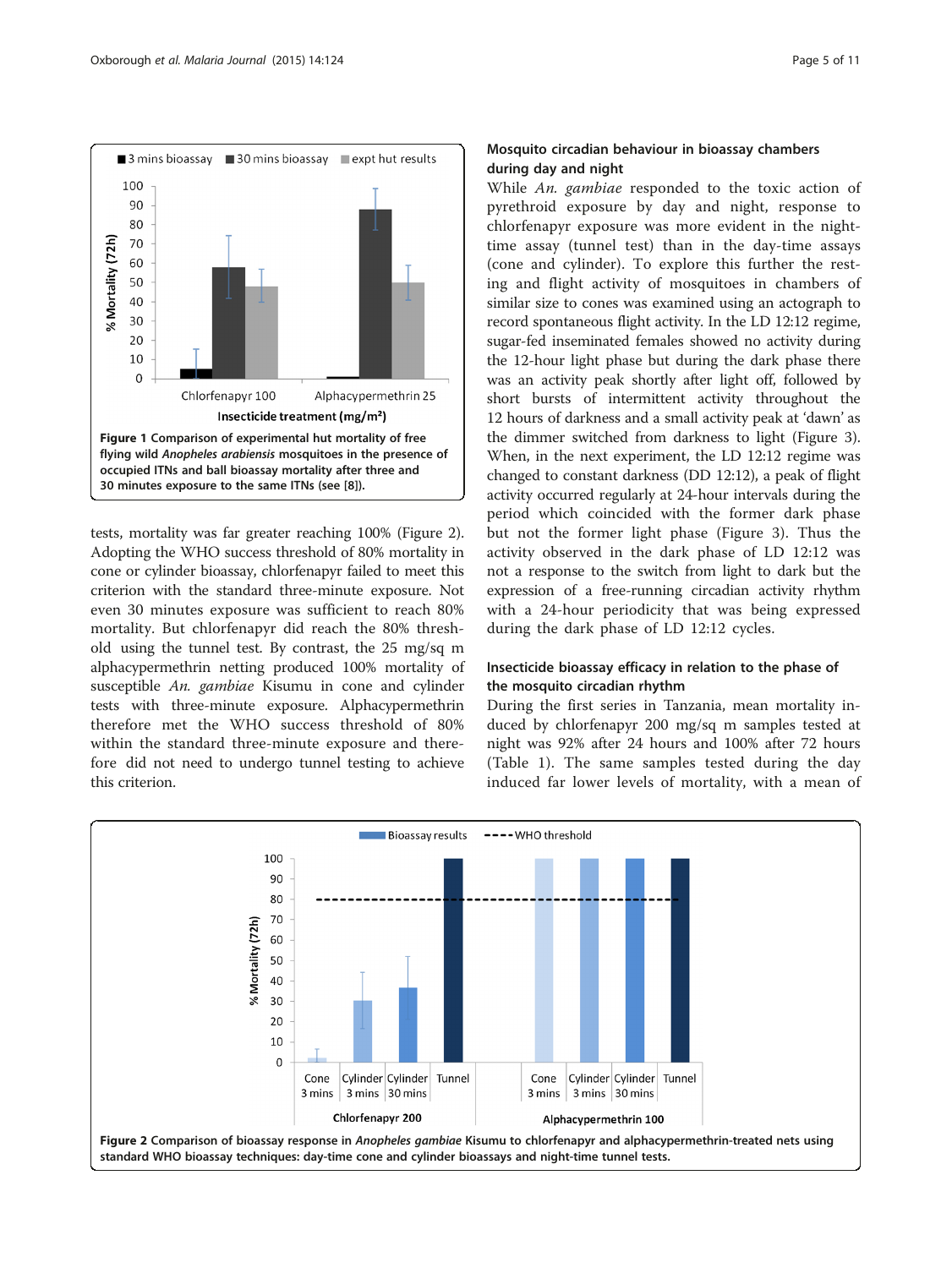<span id="page-4-0"></span>

tests, mortality was far greater reaching 100% (Figure 2). Adopting the WHO success threshold of 80% mortality in cone or cylinder bioassay, chlorfenapyr failed to meet this criterion with the standard three-minute exposure. Not even 30 minutes exposure was sufficient to reach 80% mortality. But chlorfenapyr did reach the 80% threshold using the tunnel test. By contrast, the 25 mg/sq m alphacypermethrin netting produced 100% mortality of susceptible An. gambiae Kisumu in cone and cylinder tests with three-minute exposure. Alphacypermethrin therefore met the WHO success threshold of 80% within the standard three-minute exposure and therefore did not need to undergo tunnel testing to achieve this criterion.

### Mosquito circadian behaviour in bioassay chambers during day and night

While An. gambiae responded to the toxic action of pyrethroid exposure by day and night, response to chlorfenapyr exposure was more evident in the nighttime assay (tunnel test) than in the day-time assays (cone and cylinder). To explore this further the resting and flight activity of mosquitoes in chambers of similar size to cones was examined using an actograph to record spontaneous flight activity. In the LD 12:12 regime, sugar-fed inseminated females showed no activity during the 12-hour light phase but during the dark phase there was an activity peak shortly after light off, followed by short bursts of intermittent activity throughout the 12 hours of darkness and a small activity peak at 'dawn' as the dimmer switched from darkness to light (Figure [3](#page-5-0)). When, in the next experiment, the LD 12:12 regime was changed to constant darkness (DD 12:12), a peak of flight activity occurred regularly at 24-hour intervals during the period which coincided with the former dark phase but not the former light phase (Figure [3](#page-5-0)). Thus the activity observed in the dark phase of LD 12:12 was not a response to the switch from light to dark but the expression of a free-running circadian activity rhythm with a 24-hour periodicity that was being expressed during the dark phase of LD 12:12 cycles.

# Insecticide bioassay efficacy in relation to the phase of the mosquito circadian rhythm

During the first series in Tanzania, mean mortality induced by chlorfenapyr 200 mg/sq m samples tested at night was 92% after 24 hours and 100% after 72 hours (Table [1\)](#page-6-0). The same samples tested during the day induced far lower levels of mortality, with a mean of

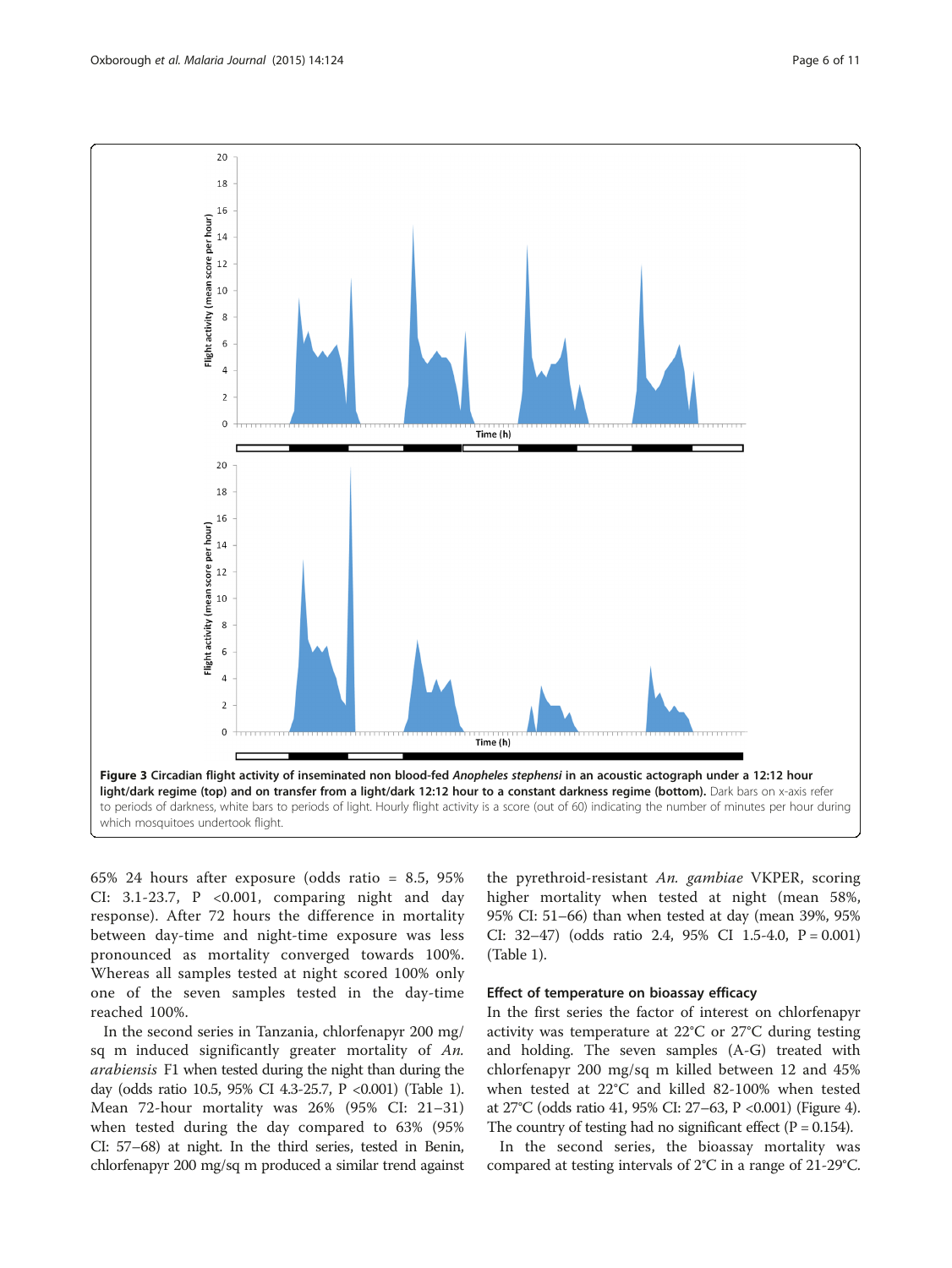<span id="page-5-0"></span>

65% 24 hours after exposure (odds ratio = 8.5, 95% CI: 3.1-23.7, P <0.001, comparing night and day response). After 72 hours the difference in mortality between day-time and night-time exposure was less pronounced as mortality converged towards 100%. Whereas all samples tested at night scored 100% only one of the seven samples tested in the day-time reached 100%.

In the second series in Tanzania, chlorfenapyr 200 mg/ sq m induced significantly greater mortality of An. arabiensis F1 when tested during the night than during the day (odds ratio 10.5, 95% CI 4.3-25.7, P <0.001) (Table [1](#page-6-0)). Mean 72-hour mortality was 26% (95% CI: 21–31) when tested during the day compared to 63% (95% CI: 57–68) at night. In the third series, tested in Benin, chlorfenapyr 200 mg/sq m produced a similar trend against

the pyrethroid-resistant An. gambiae VKPER, scoring higher mortality when tested at night (mean 58%, 95% CI: 51–66) than when tested at day (mean 39%, 95% CI: 32–47) (odds ratio 2.4, 95% CI 1.5-4.0, P = 0.001) (Table [1](#page-6-0)).

#### Effect of temperature on bioassay efficacy

In the first series the factor of interest on chlorfenapyr activity was temperature at 22°C or 27°C during testing and holding. The seven samples (A-G) treated with chlorfenapyr 200 mg/sq m killed between 12 and 45% when tested at 22°C and killed 82-100% when tested at 27°C (odds ratio 41, 95% CI: 27–63, P <0.001) (Figure [4](#page-6-0)). The country of testing had no significant effect ( $P = 0.154$ ).

In the second series, the bioassay mortality was compared at testing intervals of 2°C in a range of 21-29°C.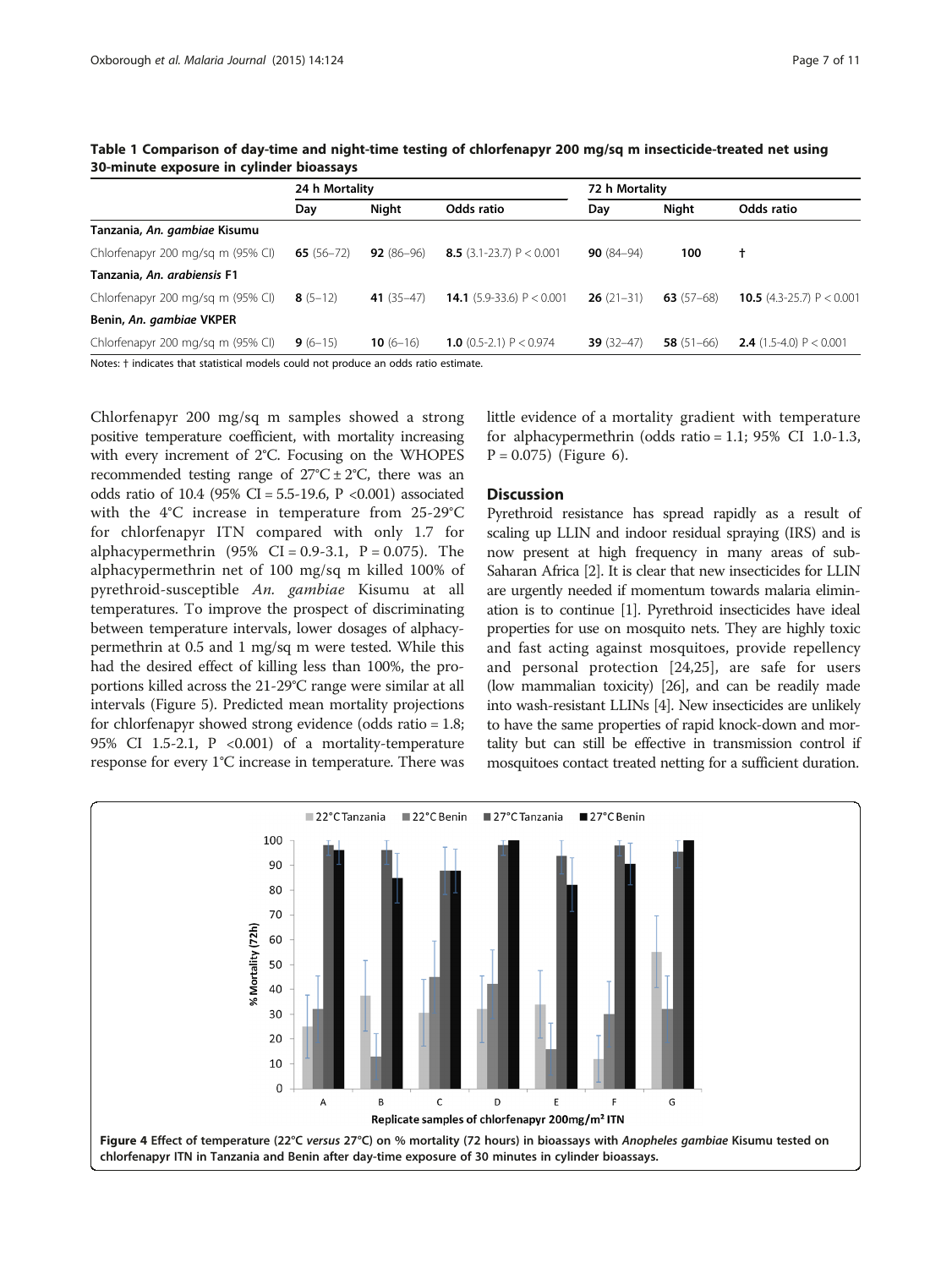|                                                                                    | 24 h Mortality |              |                                    | 72 h Mortality      |              |                                    |
|------------------------------------------------------------------------------------|----------------|--------------|------------------------------------|---------------------|--------------|------------------------------------|
|                                                                                    | Day            | Night        | Odds ratio                         | Day                 | <b>Night</b> | Odds ratio                         |
| Tanzania, An. gambiae Kisumu                                                       |                |              |                                    |                     |              |                                    |
| Chlorfenapyr 200 mg/sq m (95% CI)                                                  | 65 $(56 - 72)$ | $92(86-96)$  | <b>8.5</b> (3.1-23.7) $P < 0.001$  | <b>90</b> $(84-94)$ | 100          | t.                                 |
| Tanzania, An. arabiensis F1                                                        |                |              |                                    |                     |              |                                    |
| Chlorfenapyr 200 mg/sq m (95% CI)                                                  | $8(5-12)$      | 41 $(35-47)$ | <b>14.1</b> (5.9-33.6) $P < 0.001$ | $26(21-31)$         | 63 $(57-68)$ | <b>10.5</b> (4.3-25.7) $P < 0.001$ |
| Benin, An. gambiae VKPER                                                           |                |              |                                    |                     |              |                                    |
| Chlorfenapyr 200 mg/sg m (95% CI)                                                  | $9(6-15)$      | $10(6-16)$   | <b>1.0</b> (0.5-2.1) $P < 0.974$   | $39(32 - 47)$       | 58 $(51-66)$ | <b>2.4</b> (1.5-4.0) $P < 0.001$   |
| Notes + indicatos that statistical models could not produce an odds ratio ostimato |                |              |                                    |                     |              |                                    |

<span id="page-6-0"></span>Table 1 Comparison of day-time and night-time testing of chlorfenapyr 200 mg/sq m insecticide-treated net using 30-minute exposure in cylinder bioassays

Notes: † indicates that statistical models could not produce an odds ratio estimate.

Chlorfenapyr 200 mg/sq m samples showed a strong positive temperature coefficient, with mortality increasing with every increment of 2°C. Focusing on the WHOPES recommended testing range of  $27^{\circ}C \pm 2^{\circ}C$ , there was an odds ratio of 10.4 (95% CI = 5.5-19.6, P <0.001) associated with the 4°C increase in temperature from 25-29°C for chlorfenapyr ITN compared with only 1.7 for alphacypermethrin  $(95\% \text{ CI} = 0.9-3.1, P = 0.075)$ . The alphacypermethrin net of 100 mg/sq m killed 100% of pyrethroid-susceptible An. gambiae Kisumu at all temperatures. To improve the prospect of discriminating between temperature intervals, lower dosages of alphacypermethrin at 0.5 and 1 mg/sq m were tested. While this had the desired effect of killing less than 100%, the proportions killed across the 21-29°C range were similar at all intervals (Figure [5\)](#page-7-0). Predicted mean mortality projections for chlorfenapyr showed strong evidence (odds ratio = 1.8; 95% CI 1.5-2.1, P <0.001) of a mortality-temperature response for every 1°C increase in temperature. There was

little evidence of a mortality gradient with temperature for alphacypermethrin (odds ratio  $= 1.1$ ; 95% CI 1.0-1.3,  $P = 0.075$ ) (Figure [6\)](#page-7-0).

#### **Discussion**

Pyrethroid resistance has spread rapidly as a result of scaling up LLIN and indoor residual spraying (IRS) and is now present at high frequency in many areas of sub-Saharan Africa [\[2\]](#page-9-0). It is clear that new insecticides for LLIN are urgently needed if momentum towards malaria elimination is to continue [\[1](#page-9-0)]. Pyrethroid insecticides have ideal properties for use on mosquito nets. They are highly toxic and fast acting against mosquitoes, provide repellency and personal protection [[24,25](#page-10-0)], are safe for users (low mammalian toxicity) [[26](#page-10-0)], and can be readily made into wash-resistant LLINs [\[4\]](#page-9-0). New insecticides are unlikely to have the same properties of rapid knock-down and mortality but can still be effective in transmission control if mosquitoes contact treated netting for a sufficient duration.

![](_page_6_Figure_9.jpeg)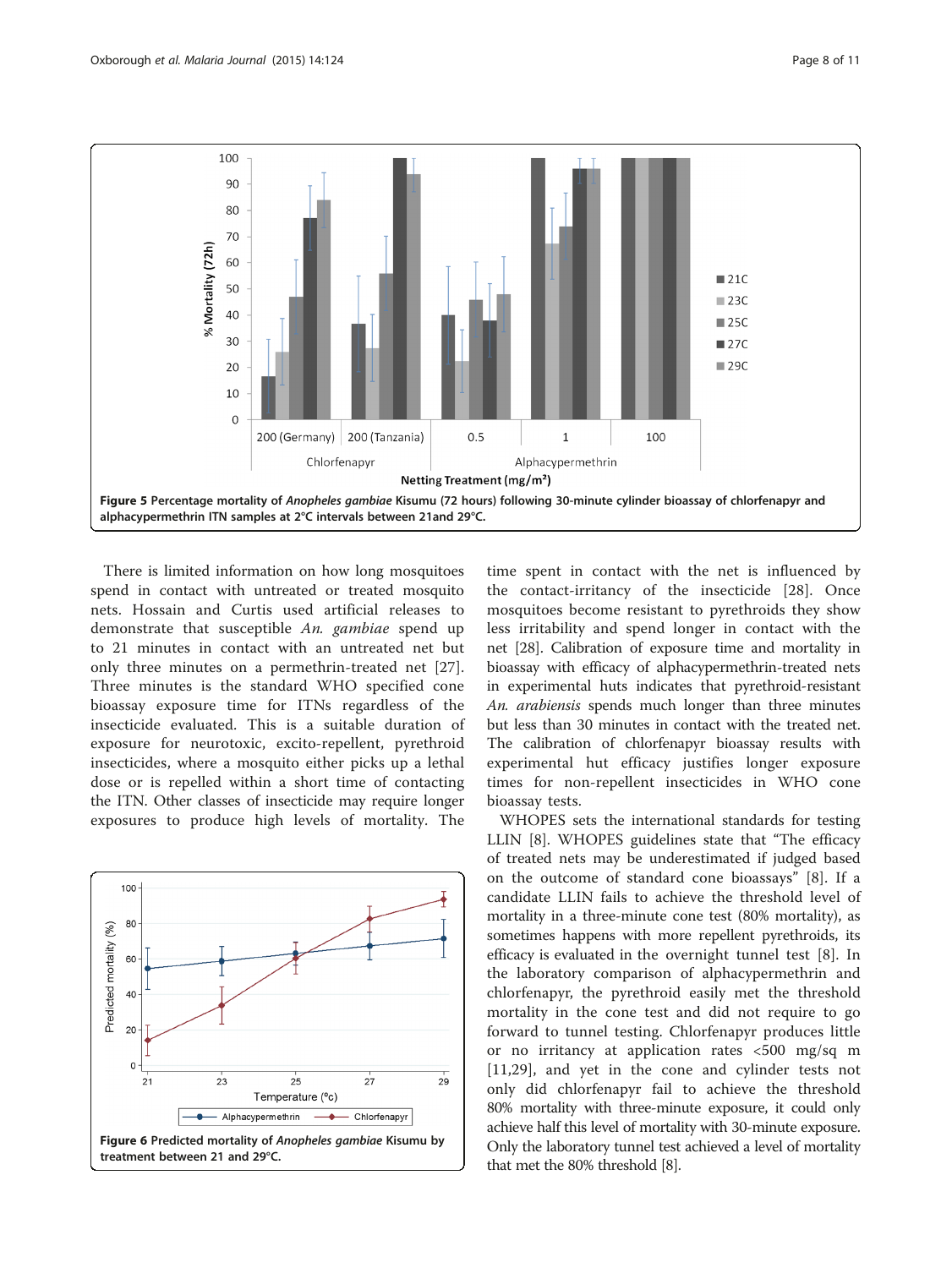<span id="page-7-0"></span>![](_page_7_Figure_2.jpeg)

There is limited information on how long mosquitoes spend in contact with untreated or treated mosquito nets. Hossain and Curtis used artificial releases to demonstrate that susceptible An. gambiae spend up to 21 minutes in contact with an untreated net but only three minutes on a permethrin-treated net [\[27](#page-10-0)]. Three minutes is the standard WHO specified cone bioassay exposure time for ITNs regardless of the insecticide evaluated. This is a suitable duration of exposure for neurotoxic, excito-repellent, pyrethroid insecticides, where a mosquito either picks up a lethal dose or is repelled within a short time of contacting the ITN. Other classes of insecticide may require longer exposures to produce high levels of mortality. The

![](_page_7_Figure_4.jpeg)

time spent in contact with the net is influenced by the contact-irritancy of the insecticide [\[28](#page-10-0)]. Once mosquitoes become resistant to pyrethroids they show less irritability and spend longer in contact with the net [\[28\]](#page-10-0). Calibration of exposure time and mortality in bioassay with efficacy of alphacypermethrin-treated nets in experimental huts indicates that pyrethroid-resistant An. arabiensis spends much longer than three minutes but less than 30 minutes in contact with the treated net. The calibration of chlorfenapyr bioassay results with experimental hut efficacy justifies longer exposure times for non-repellent insecticides in WHO cone bioassay tests.

WHOPES sets the international standards for testing LLIN [\[8](#page-9-0)]. WHOPES guidelines state that "The efficacy of treated nets may be underestimated if judged based on the outcome of standard cone bioassays" [[8\]](#page-9-0). If a candidate LLIN fails to achieve the threshold level of mortality in a three-minute cone test (80% mortality), as sometimes happens with more repellent pyrethroids, its efficacy is evaluated in the overnight tunnel test [[8\]](#page-9-0). In the laboratory comparison of alphacypermethrin and chlorfenapyr, the pyrethroid easily met the threshold mortality in the cone test and did not require to go forward to tunnel testing. Chlorfenapyr produces little or no irritancy at application rates <500 mg/sq m [[11](#page-9-0)[,29](#page-10-0)], and yet in the cone and cylinder tests not only did chlorfenapyr fail to achieve the threshold 80% mortality with three-minute exposure, it could only achieve half this level of mortality with 30-minute exposure. Only the laboratory tunnel test achieved a level of mortality that met the 80% threshold [[8](#page-9-0)].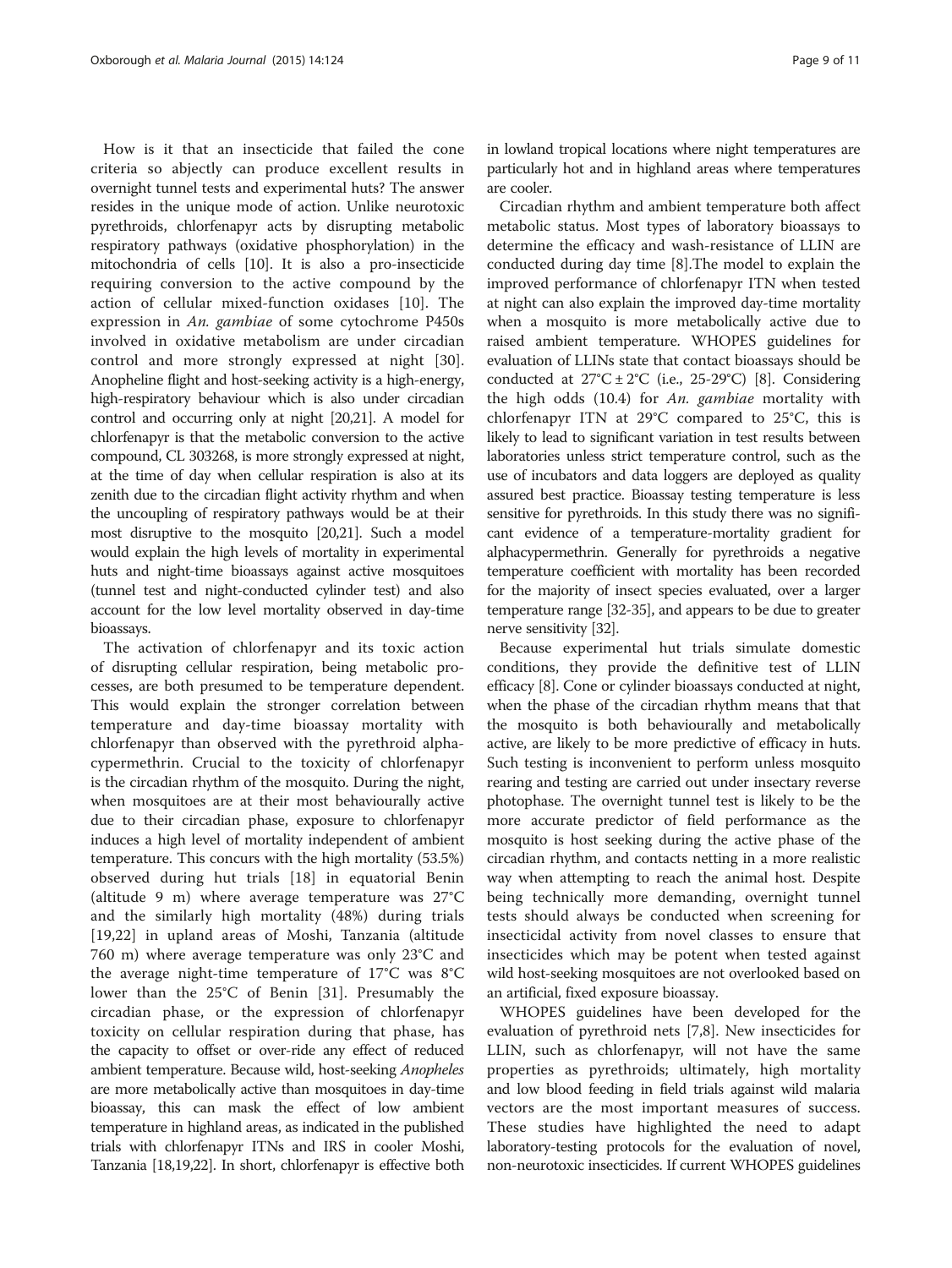How is it that an insecticide that failed the cone criteria so abjectly can produce excellent results in overnight tunnel tests and experimental huts? The answer resides in the unique mode of action. Unlike neurotoxic pyrethroids, chlorfenapyr acts by disrupting metabolic respiratory pathways (oxidative phosphorylation) in the mitochondria of cells [[10\]](#page-9-0). It is also a pro-insecticide requiring conversion to the active compound by the action of cellular mixed-function oxidases [[10\]](#page-9-0). The expression in An. gambiae of some cytochrome P450s involved in oxidative metabolism are under circadian control and more strongly expressed at night [\[30](#page-10-0)]. Anopheline flight and host-seeking activity is a high-energy, high-respiratory behaviour which is also under circadian control and occurring only at night [\[20,21](#page-10-0)]. A model for chlorfenapyr is that the metabolic conversion to the active compound, CL 303268, is more strongly expressed at night, at the time of day when cellular respiration is also at its zenith due to the circadian flight activity rhythm and when the uncoupling of respiratory pathways would be at their most disruptive to the mosquito [\[20,21\]](#page-10-0). Such a model would explain the high levels of mortality in experimental huts and night-time bioassays against active mosquitoes (tunnel test and night-conducted cylinder test) and also account for the low level mortality observed in day-time bioassays.

The activation of chlorfenapyr and its toxic action of disrupting cellular respiration, being metabolic processes, are both presumed to be temperature dependent. This would explain the stronger correlation between temperature and day-time bioassay mortality with chlorfenapyr than observed with the pyrethroid alphacypermethrin. Crucial to the toxicity of chlorfenapyr is the circadian rhythm of the mosquito. During the night, when mosquitoes are at their most behaviourally active due to their circadian phase, exposure to chlorfenapyr induces a high level of mortality independent of ambient temperature. This concurs with the high mortality (53.5%) observed during hut trials [[18\]](#page-10-0) in equatorial Benin (altitude 9 m) where average temperature was 27°C and the similarly high mortality (48%) during trials [[19,22](#page-10-0)] in upland areas of Moshi, Tanzania (altitude 760 m) where average temperature was only 23°C and the average night-time temperature of 17°C was 8°C lower than the 25°C of Benin [[31\]](#page-10-0). Presumably the circadian phase, or the expression of chlorfenapyr toxicity on cellular respiration during that phase, has the capacity to offset or over-ride any effect of reduced ambient temperature. Because wild, host-seeking Anopheles are more metabolically active than mosquitoes in day-time bioassay, this can mask the effect of low ambient temperature in highland areas, as indicated in the published trials with chlorfenapyr ITNs and IRS in cooler Moshi, Tanzania [\[18,19,22](#page-10-0)]. In short, chlorfenapyr is effective both

in lowland tropical locations where night temperatures are particularly hot and in highland areas where temperatures are cooler.

Circadian rhythm and ambient temperature both affect metabolic status. Most types of laboratory bioassays to determine the efficacy and wash-resistance of LLIN are conducted during day time [[8\]](#page-9-0).The model to explain the improved performance of chlorfenapyr ITN when tested at night can also explain the improved day-time mortality when a mosquito is more metabolically active due to raised ambient temperature. WHOPES guidelines for evaluation of LLINs state that contact bioassays should be conducted at  $27^{\circ}C \pm 2^{\circ}C$  (i.e., 25-29°C) [\[8](#page-9-0)]. Considering the high odds (10.4) for An. gambiae mortality with chlorfenapyr ITN at 29°C compared to 25°C, this is likely to lead to significant variation in test results between laboratories unless strict temperature control, such as the use of incubators and data loggers are deployed as quality assured best practice. Bioassay testing temperature is less sensitive for pyrethroids. In this study there was no significant evidence of a temperature-mortality gradient for alphacypermethrin. Generally for pyrethroids a negative temperature coefficient with mortality has been recorded for the majority of insect species evaluated, over a larger temperature range [\[32-35\]](#page-10-0), and appears to be due to greater nerve sensitivity [\[32](#page-10-0)].

Because experimental hut trials simulate domestic conditions, they provide the definitive test of LLIN efficacy [\[8\]](#page-9-0). Cone or cylinder bioassays conducted at night, when the phase of the circadian rhythm means that that the mosquito is both behaviourally and metabolically active, are likely to be more predictive of efficacy in huts. Such testing is inconvenient to perform unless mosquito rearing and testing are carried out under insectary reverse photophase. The overnight tunnel test is likely to be the more accurate predictor of field performance as the mosquito is host seeking during the active phase of the circadian rhythm, and contacts netting in a more realistic way when attempting to reach the animal host. Despite being technically more demanding, overnight tunnel tests should always be conducted when screening for insecticidal activity from novel classes to ensure that insecticides which may be potent when tested against wild host-seeking mosquitoes are not overlooked based on an artificial, fixed exposure bioassay.

WHOPES guidelines have been developed for the evaluation of pyrethroid nets [[7,8\]](#page-9-0). New insecticides for LLIN, such as chlorfenapyr, will not have the same properties as pyrethroids; ultimately, high mortality and low blood feeding in field trials against wild malaria vectors are the most important measures of success. These studies have highlighted the need to adapt laboratory-testing protocols for the evaluation of novel, non-neurotoxic insecticides. If current WHOPES guidelines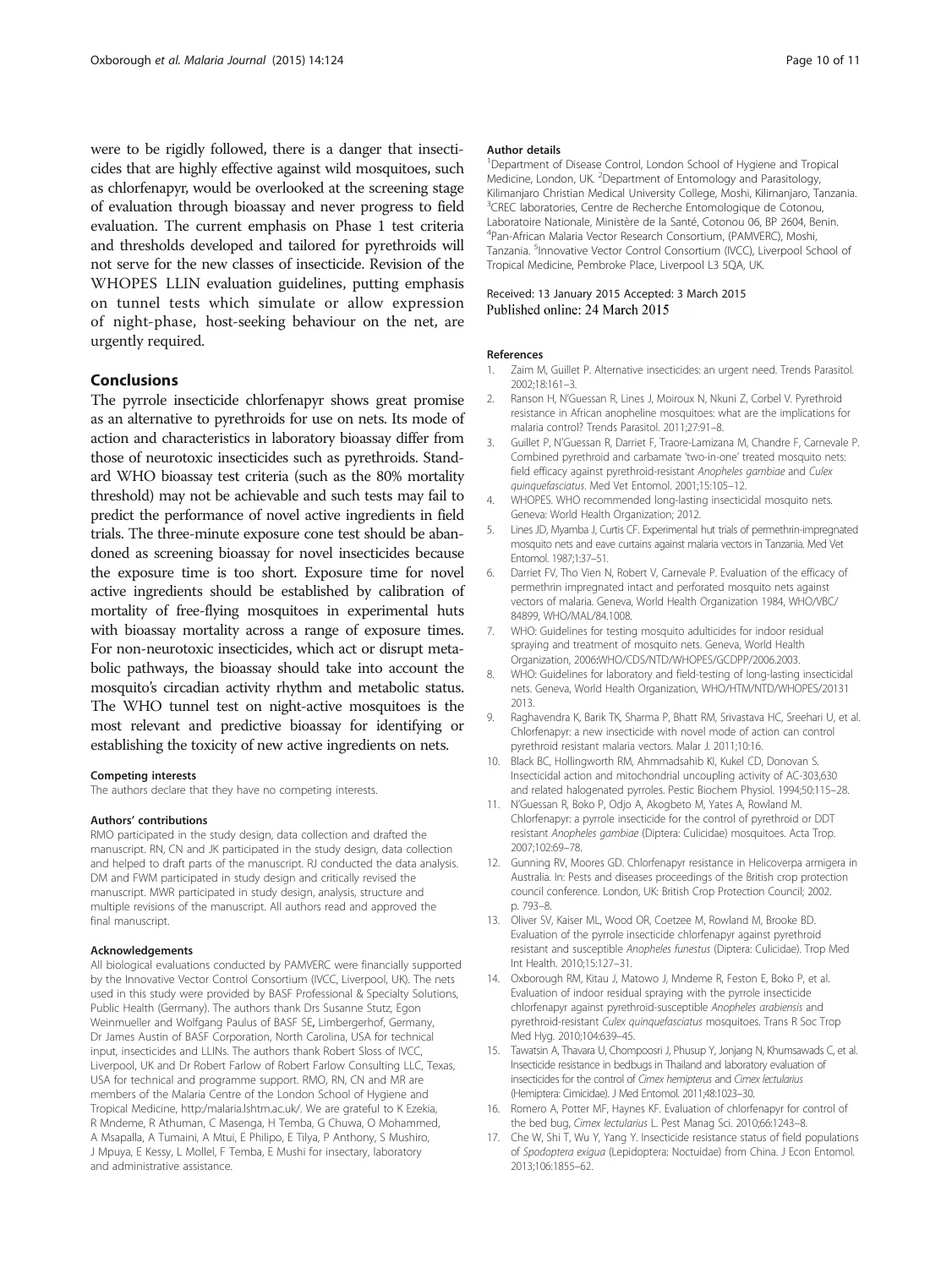<span id="page-9-0"></span>were to be rigidly followed, there is a danger that insecticides that are highly effective against wild mosquitoes, such as chlorfenapyr, would be overlooked at the screening stage of evaluation through bioassay and never progress to field evaluation. The current emphasis on Phase 1 test criteria and thresholds developed and tailored for pyrethroids will not serve for the new classes of insecticide. Revision of the WHOPES LLIN evaluation guidelines, putting emphasis on tunnel tests which simulate or allow expression of night-phase, host-seeking behaviour on the net, are urgently required.

#### Conclusions

The pyrrole insecticide chlorfenapyr shows great promise as an alternative to pyrethroids for use on nets. Its mode of action and characteristics in laboratory bioassay differ from those of neurotoxic insecticides such as pyrethroids. Standard WHO bioassay test criteria (such as the 80% mortality threshold) may not be achievable and such tests may fail to predict the performance of novel active ingredients in field trials. The three-minute exposure cone test should be abandoned as screening bioassay for novel insecticides because the exposure time is too short. Exposure time for novel active ingredients should be established by calibration of mortality of free-flying mosquitoes in experimental huts with bioassay mortality across a range of exposure times. For non-neurotoxic insecticides, which act or disrupt metabolic pathways, the bioassay should take into account the mosquito's circadian activity rhythm and metabolic status. The WHO tunnel test on night-active mosquitoes is the most relevant and predictive bioassay for identifying or establishing the toxicity of new active ingredients on nets.

#### Competing interests

The authors declare that they have no competing interests.

#### Authors' contributions

RMO participated in the study design, data collection and drafted the manuscript. RN, CN and JK participated in the study design, data collection and helped to draft parts of the manuscript. RJ conducted the data analysis. DM and FWM participated in study design and critically revised the manuscript. MWR participated in study design, analysis, structure and multiple revisions of the manuscript. All authors read and approved the final manuscript.

#### Acknowledgements

All biological evaluations conducted by PAMVERC were financially supported by the Innovative Vector Control Consortium (IVCC, Liverpool, UK). The nets used in this study were provided by BASF Professional & Specialty Solutions, Public Health (Germany). The authors thank Drs Susanne Stutz, Egon Weinmueller and Wolfgang Paulus of BASF SE, Limbergerhof, Germany, Dr James Austin of BASF Corporation, North Carolina, USA for technical input, insecticides and LLINs. The authors thank Robert Sloss of IVCC, Liverpool, UK and Dr Robert Farlow of Robert Farlow Consulting LLC, Texas, USA for technical and programme support. RMO, RN, CN and MR are members of the Malaria Centre of the London School of Hygiene and Tropical Medicine, http:/malaria.lshtm.ac.uk/. We are grateful to K Ezekia, R Mndeme, R Athuman, C Masenga, H Temba, G Chuwa, O Mohammed, A Msapalla, A Tumaini, A Mtui, E Philipo, E Tilya, P Anthony, S Mushiro, J Mpuya, E Kessy, L Mollel, F Temba, E Mushi for insectary, laboratory and administrative assistance.

#### Author details

<sup>1</sup>Department of Disease Control, London School of Hygiene and Tropical Medicine, London, UK. <sup>2</sup>Department of Entomology and Parasitology Kilimanjaro Christian Medical University College, Moshi, Kilimanjaro, Tanzania. <sup>3</sup>CREC laboratories, Centre de Recherche Entomologique de Cotonou, Laboratoire Nationale, Ministère de la Santé, Cotonou 06, BP 2604, Benin. 4 Pan-African Malaria Vector Research Consortium, (PAMVERC), Moshi, Tanzania. <sup>5</sup>Innovative Vector Control Consortium (IVCC), Liverpool School of Tropical Medicine, Pembroke Place, Liverpool L3 5QA, UK.

#### Received: 13 January 2015 Accepted: 3 March 2015 Published online: 24 March 2015

#### References

- 1. Zaim M, Guillet P. Alternative insecticides: an urgent need. Trends Parasitol. 2002;18:161–3.
- 2. Ranson H, N'Guessan R, Lines J, Moiroux N, Nkuni Z, Corbel V. Pyrethroid resistance in African anopheline mosquitoes: what are the implications for malaria control? Trends Parasitol. 2011;27:91–8.
- 3. Guillet P, N'Guessan R, Darriet F, Traore-Lamizana M, Chandre F, Carnevale P. Combined pyrethroid and carbamate 'two-in-one' treated mosquito nets: field efficacy against pyrethroid-resistant Anopheles gambiae and Culex quinquefasciatus. Med Vet Entomol. 2001;15:105–12.
- 4. WHOPES. WHO recommended long-lasting insecticidal mosquito nets. Geneva: World Health Organization; 2012.
- 5. Lines JD, Myamba J, Curtis CF. Experimental hut trials of permethrin-impregnated mosquito nets and eave curtains against malaria vectors in Tanzania. Med Vet Entomol. 1987;1:37–51.
- 6. Darriet FV, Tho Vien N, Robert V, Carnevale P. Evaluation of the efficacy of permethrin impregnated intact and perforated mosquito nets against vectors of malaria. Geneva, World Health Organization 1984, WHO/VBC/ 84899, WHO/MAL/84.1008.
- 7. WHO: Guidelines for testing mosquito adulticides for indoor residual spraying and treatment of mosquito nets. Geneva, World Health Organization, 2006:WHO/CDS/NTD/WHOPES/GCDPP/2006.2003.
- 8. WHO: Guidelines for laboratory and field-testing of long-lasting insecticidal nets. Geneva, World Health Organization, WHO/HTM/NTD/WHOPES/20131 2013.
- 9. Raghavendra K, Barik TK, Sharma P, Bhatt RM, Srivastava HC, Sreehari U, et al. Chlorfenapyr: a new insecticide with novel mode of action can control pyrethroid resistant malaria vectors. Malar J. 2011;10:16.
- 10. Black BC, Hollingworth RM, Ahmmadsahib KI, Kukel CD, Donovan S. Insecticidal action and mitochondrial uncoupling activity of AC-303,630 and related halogenated pyrroles. Pestic Biochem Physiol. 1994;50:115–28.
- 11. N'Guessan R, Boko P, Odjo A, Akogbeto M, Yates A, Rowland M. Chlorfenapyr: a pyrrole insecticide for the control of pyrethroid or DDT resistant Anopheles gambiae (Diptera: Culicidae) mosquitoes. Acta Trop. 2007;102:69–78.
- 12. Gunning RV, Moores GD. Chlorfenapyr resistance in Helicoverpa armigera in Australia. In: Pests and diseases proceedings of the British crop protection council conference. London, UK: British Crop Protection Council; 2002. p. 793–8.
- 13. Oliver SV, Kaiser ML, Wood OR, Coetzee M, Rowland M, Brooke BD. Evaluation of the pyrrole insecticide chlorfenapyr against pyrethroid resistant and susceptible Anopheles funestus (Diptera: Culicidae). Trop Med Int Health. 2010;15:127–31.
- 14. Oxborough RM, Kitau J, Matowo J, Mndeme R, Feston E, Boko P, et al. Evaluation of indoor residual spraying with the pyrrole insecticide chlorfenapyr against pyrethroid-susceptible Anopheles arabiensis and pyrethroid-resistant Culex quinquefasciatus mosquitoes. Trans R Soc Trop Med Hyg. 2010;104:639–45.
- 15. Tawatsin A, Thavara U, Chompoosri J, Phusup Y, Jonjang N, Khumsawads C, et al. Insecticide resistance in bedbugs in Thailand and laboratory evaluation of insecticides for the control of Cimex hemipterus and Cimex lectularius (Hemiptera: Cimicidae). J Med Entomol. 2011;48:1023–30.
- 16. Romero A, Potter MF, Haynes KF. Evaluation of chlorfenapyr for control of the bed bug, Cimex lectularius L. Pest Manag Sci. 2010;66:1243–8.
- 17. Che W, Shi T, Wu Y, Yang Y. Insecticide resistance status of field populations of Spodoptera exigua (Lepidoptera: Noctuidae) from China. J Econ Entomol. 2013;106:1855–62.